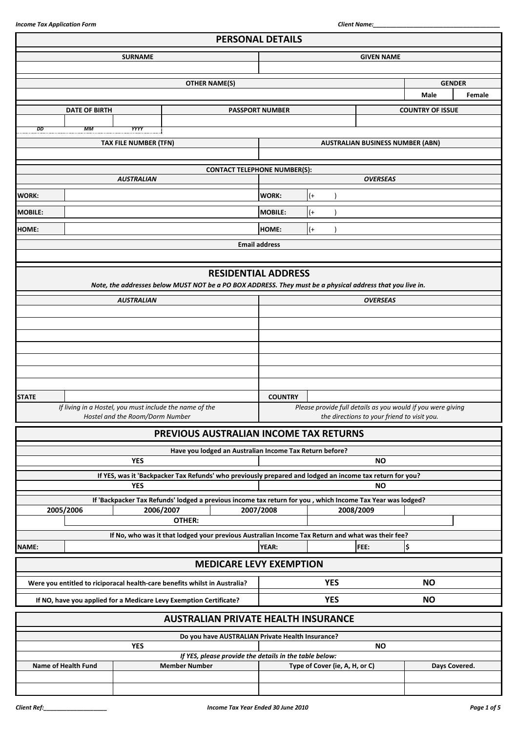|                |                      |                                                                            |                      | <b>PERSONAL DETAILS</b>                                                                                    |                                                             |       |                                |                                         |                         |        |
|----------------|----------------------|----------------------------------------------------------------------------|----------------------|------------------------------------------------------------------------------------------------------------|-------------------------------------------------------------|-------|--------------------------------|-----------------------------------------|-------------------------|--------|
|                |                      | <b>SURNAME</b>                                                             |                      |                                                                                                            | <b>GIVEN NAME</b>                                           |       |                                |                                         |                         |        |
|                |                      |                                                                            |                      |                                                                                                            |                                                             |       |                                |                                         |                         |        |
|                |                      |                                                                            |                      | <b>OTHER NAME(S)</b>                                                                                       |                                                             |       |                                |                                         | <b>GENDER</b>           |        |
|                |                      |                                                                            |                      |                                                                                                            |                                                             |       |                                |                                         | Male                    | Female |
|                | <b>DATE OF BIRTH</b> |                                                                            |                      |                                                                                                            | <b>PASSPORT NUMBER</b>                                      |       |                                |                                         | <b>COUNTRY OF ISSUE</b> |        |
|                |                      |                                                                            |                      |                                                                                                            |                                                             |       |                                |                                         |                         |        |
| DD             | MМ                   | <b>YYYY</b>                                                                |                      |                                                                                                            |                                                             |       |                                |                                         |                         |        |
|                |                      | TAX FILE NUMBER (TFN)                                                      |                      |                                                                                                            |                                                             |       |                                | <b>AUSTRALIAN BUSINESS NUMBER (ABN)</b> |                         |        |
|                |                      |                                                                            |                      |                                                                                                            |                                                             |       |                                |                                         |                         |        |
|                |                      |                                                                            |                      | <b>CONTACT TELEPHONE NUMBER(S):</b>                                                                        |                                                             |       |                                |                                         |                         |        |
|                |                      | <b>AUSTRALIAN</b>                                                          |                      |                                                                                                            |                                                             |       |                                | <b>OVERSEAS</b>                         |                         |        |
| <b>WORK:</b>   |                      |                                                                            |                      |                                                                                                            | <b>WORK:</b>                                                | $(+)$ |                                |                                         |                         |        |
| <b>MOBILE:</b> |                      |                                                                            |                      |                                                                                                            | <b>MOBILE:</b>                                              | $($ + |                                |                                         |                         |        |
| <b>HOME:</b>   |                      |                                                                            |                      |                                                                                                            | HOME:                                                       | $($ + |                                |                                         |                         |        |
|                |                      |                                                                            |                      |                                                                                                            | <b>Email address</b>                                        |       |                                |                                         |                         |        |
|                |                      |                                                                            |                      |                                                                                                            |                                                             |       |                                |                                         |                         |        |
|                |                      |                                                                            |                      |                                                                                                            |                                                             |       |                                |                                         |                         |        |
|                |                      |                                                                            |                      | <b>RESIDENTIAL ADDRESS</b>                                                                                 |                                                             |       |                                |                                         |                         |        |
|                |                      |                                                                            |                      | Note, the addresses below MUST NOT be a PO BOX ADDRESS. They must be a physical address that you live in.  |                                                             |       |                                |                                         |                         |        |
|                |                      | <b>AUSTRALIAN</b>                                                          |                      |                                                                                                            |                                                             |       |                                | <b>OVERSEAS</b>                         |                         |        |
|                |                      |                                                                            |                      |                                                                                                            |                                                             |       |                                |                                         |                         |        |
|                |                      |                                                                            |                      |                                                                                                            |                                                             |       |                                |                                         |                         |        |
|                |                      |                                                                            |                      |                                                                                                            |                                                             |       |                                |                                         |                         |        |
|                |                      |                                                                            |                      |                                                                                                            |                                                             |       |                                |                                         |                         |        |
|                |                      |                                                                            |                      |                                                                                                            |                                                             |       |                                |                                         |                         |        |
|                |                      |                                                                            |                      |                                                                                                            |                                                             |       |                                |                                         |                         |        |
| <b>STATE</b>   |                      |                                                                            |                      |                                                                                                            | <b>COUNTRY</b>                                              |       |                                |                                         |                         |        |
|                |                      | If living in a Hostel, you must include the name of the                    |                      |                                                                                                            | Please provide full details as you would if you were giving |       |                                |                                         |                         |        |
|                |                      | Hostel and the Room/Dorm Number                                            |                      |                                                                                                            | the directions to your friend to visit you.                 |       |                                |                                         |                         |        |
|                |                      |                                                                            |                      | PREVIOUS AUSTRALIAN INCOME TAX RETURNS                                                                     |                                                             |       |                                |                                         |                         |        |
|                |                      |                                                                            |                      | Have you lodged an Australian Income Tax Return before?                                                    |                                                             |       |                                |                                         |                         |        |
|                |                      | <b>YES</b>                                                                 |                      |                                                                                                            |                                                             |       |                                | <b>NO</b>                               |                         |        |
|                |                      |                                                                            |                      | If YES, was it 'Backpacker Tax Refunds' who previously prepared and lodged an income tax return for you?   |                                                             |       |                                |                                         |                         |        |
|                |                      | <b>YES</b>                                                                 |                      |                                                                                                            |                                                             |       |                                | <b>NO</b>                               |                         |        |
|                |                      |                                                                            |                      | If 'Backpacker Tax Refunds' lodged a previous income tax return for you, which Income Tax Year was lodged? |                                                             |       |                                |                                         |                         |        |
|                | 2005/2006            | 2006/2007                                                                  |                      |                                                                                                            | 2007/2008                                                   |       |                                | 2008/2009                               |                         |        |
|                |                      |                                                                            | OTHER:               |                                                                                                            |                                                             |       |                                |                                         |                         |        |
|                |                      |                                                                            |                      | If No, who was it that lodged your previous Australian Income Tax Return and what was their fee?           |                                                             |       |                                | FEE:                                    |                         |        |
| NAME:          |                      |                                                                            |                      |                                                                                                            | <b>YEAR:</b>                                                |       |                                |                                         | \$                      |        |
|                |                      |                                                                            |                      | <b>MEDICARE LEVY EXEMPTION</b>                                                                             |                                                             |       |                                |                                         |                         |        |
|                |                      | Were you entitled to riciporacal health-care benefits whilst in Australia? |                      |                                                                                                            |                                                             |       | <b>YES</b>                     |                                         | <b>NO</b>               |        |
|                |                      | If NO, have you applied for a Medicare Levy Exemption Certificate?         |                      |                                                                                                            |                                                             |       | <b>YES</b>                     |                                         | <b>NO</b>               |        |
|                |                      |                                                                            |                      |                                                                                                            |                                                             |       |                                |                                         |                         |        |
|                |                      |                                                                            |                      | <b>AUSTRALIAN PRIVATE HEALTH INSURANCE</b>                                                                 |                                                             |       |                                |                                         |                         |        |
|                |                      |                                                                            |                      | Do you have AUSTRALIAN Private Health Insurance?                                                           |                                                             |       |                                |                                         |                         |        |
|                |                      | <b>YES</b>                                                                 |                      | If YES, please provide the details in the table below:                                                     |                                                             |       |                                | <b>NO</b>                               |                         |        |
|                | Name of Health Fund  |                                                                            | <b>Member Number</b> |                                                                                                            |                                                             |       | Type of Cover (ie, A, H, or C) |                                         | Days Covered.           |        |
|                |                      |                                                                            |                      |                                                                                                            |                                                             |       |                                |                                         |                         |        |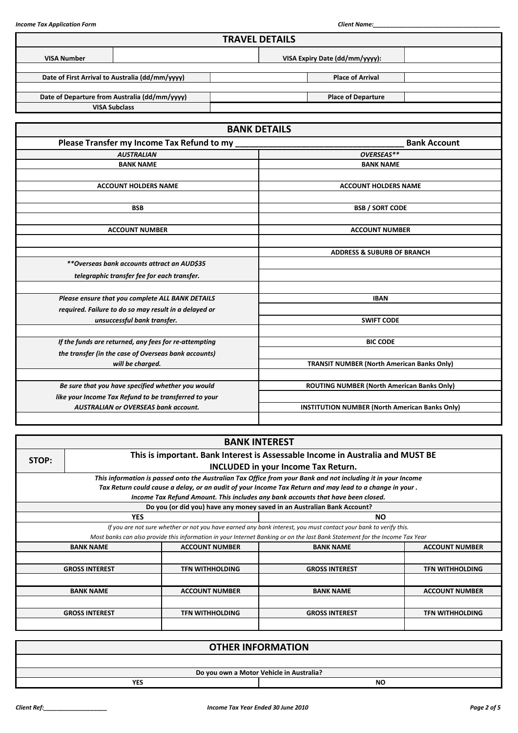|                    |                                                       | <b>TRAVEL DETAILS</b>                                 |                                                   |                     |  |  |
|--------------------|-------------------------------------------------------|-------------------------------------------------------|---------------------------------------------------|---------------------|--|--|
| <b>VISA Number</b> |                                                       |                                                       | VISA Expiry Date (dd/mm/yyyy):                    |                     |  |  |
|                    | Date of First Arrival to Australia (dd/mm/yyyy)       |                                                       | <b>Place of Arrival</b>                           |                     |  |  |
|                    |                                                       |                                                       |                                                   |                     |  |  |
|                    | Date of Departure from Australia (dd/mm/yyyy)         |                                                       | <b>Place of Departure</b>                         |                     |  |  |
|                    | <b>VISA Subclass</b>                                  |                                                       |                                                   |                     |  |  |
|                    |                                                       |                                                       |                                                   |                     |  |  |
|                    |                                                       | <b>BANK DETAILS</b>                                   |                                                   |                     |  |  |
|                    | Please Transfer my Income Tax Refund to my            |                                                       |                                                   | <b>Bank Account</b> |  |  |
|                    | <b>AUSTRALIAN</b>                                     |                                                       | OVERSEAS**                                        |                     |  |  |
|                    | <b>BANK NAME</b>                                      |                                                       | <b>BANK NAME</b>                                  |                     |  |  |
|                    |                                                       |                                                       |                                                   |                     |  |  |
|                    | <b>ACCOUNT HOLDERS NAME</b>                           |                                                       | <b>ACCOUNT HOLDERS NAME</b>                       |                     |  |  |
|                    |                                                       |                                                       |                                                   |                     |  |  |
|                    | <b>BSB</b>                                            |                                                       | <b>BSB / SORT CODE</b>                            |                     |  |  |
|                    |                                                       |                                                       |                                                   |                     |  |  |
|                    | <b>ACCOUNT NUMBER</b>                                 |                                                       | <b>ACCOUNT NUMBER</b>                             |                     |  |  |
|                    |                                                       |                                                       |                                                   |                     |  |  |
|                    |                                                       |                                                       | <b>ADDRESS &amp; SUBURB OF BRANCH</b>             |                     |  |  |
|                    | **Overseas bank accounts attract an AUD\$35           |                                                       |                                                   |                     |  |  |
|                    | telegraphic transfer fee for each transfer.           |                                                       |                                                   |                     |  |  |
|                    |                                                       |                                                       |                                                   |                     |  |  |
|                    | Please ensure that you complete ALL BANK DETAILS      |                                                       | <b>IBAN</b>                                       |                     |  |  |
|                    | required. Failure to do so may result in a delayed or |                                                       |                                                   |                     |  |  |
|                    | unsuccessful bank transfer.                           |                                                       | <b>SWIFT CODE</b>                                 |                     |  |  |
|                    | If the funds are returned, any fees for re-attempting |                                                       | <b>BIC CODE</b>                                   |                     |  |  |
|                    | the transfer (in the case of Overseas bank accounts)  |                                                       |                                                   |                     |  |  |
|                    | will be charged.                                      |                                                       | <b>TRANSIT NUMBER (North American Banks Only)</b> |                     |  |  |
|                    |                                                       |                                                       |                                                   |                     |  |  |
|                    | Be sure that you have specified whether you would     |                                                       | ROUTING NUMBER (North American Banks Only)        |                     |  |  |
|                    | like your Income Tax Refund to be transferred to your |                                                       |                                                   |                     |  |  |
|                    | <b>AUSTRALIAN or OVERSEAS bank account.</b>           | <b>INSTITUTION NUMBER (North American Banks Only)</b> |                                                   |                     |  |  |
|                    |                                                       |                                                       |                                                   |                     |  |  |

|                                                                                         |                        | <b>BANK INTEREST</b>                                                                                                        |                        |  |  |  |  |  |
|-----------------------------------------------------------------------------------------|------------------------|-----------------------------------------------------------------------------------------------------------------------------|------------------------|--|--|--|--|--|
| This is important. Bank Interest is Assessable Income in Australia and MUST BE<br>STOP: |                        |                                                                                                                             |                        |  |  |  |  |  |
|                                                                                         |                        | INCLUDED in your Income Tax Return.                                                                                         |                        |  |  |  |  |  |
|                                                                                         |                        | This information is passed onto the Australian Tax Office from your Bank and not including it in your Income                |                        |  |  |  |  |  |
|                                                                                         |                        | Tax Return could cause a delay, or an audit of your Income Tax Return and may lead to a change in your.                     |                        |  |  |  |  |  |
|                                                                                         |                        | Income Tax Refund Amount. This includes any bank accounts that have been closed.                                            |                        |  |  |  |  |  |
|                                                                                         |                        | Do you (or did you) have any money saved in an Australian Bank Account?                                                     |                        |  |  |  |  |  |
| <b>YES</b>                                                                              |                        | NO.                                                                                                                         |                        |  |  |  |  |  |
|                                                                                         |                        | If you are not sure whether or not you have earned any bank interest, you must contact your bank to verify this.            |                        |  |  |  |  |  |
|                                                                                         |                        | Most banks can also provide this information in your Internet Banking or on the last Bank Statement for the Income Tax Year |                        |  |  |  |  |  |
| <b>BANK NAME</b>                                                                        | <b>ACCOUNT NUMBER</b>  | <b>BANK NAME</b>                                                                                                            | <b>ACCOUNT NUMBER</b>  |  |  |  |  |  |
|                                                                                         |                        |                                                                                                                             |                        |  |  |  |  |  |
| <b>GROSS INTEREST</b>                                                                   | <b>TFN WITHHOLDING</b> | <b>GROSS INTEREST</b>                                                                                                       | <b>TFN WITHHOLDING</b> |  |  |  |  |  |
|                                                                                         |                        |                                                                                                                             |                        |  |  |  |  |  |
| <b>BANK NAME</b>                                                                        | <b>ACCOUNT NUMBER</b>  | <b>BANK NAME</b>                                                                                                            | <b>ACCOUNT NUMBER</b>  |  |  |  |  |  |
|                                                                                         |                        |                                                                                                                             |                        |  |  |  |  |  |
| <b>GROSS INTEREST</b>                                                                   | <b>TFN WITHHOLDING</b> | <b>GROSS INTEREST</b>                                                                                                       | <b>TFN WITHHOLDING</b> |  |  |  |  |  |
|                                                                                         |                        |                                                                                                                             |                        |  |  |  |  |  |

|            | <b>OTHER INFORMATION</b>                 |
|------------|------------------------------------------|
|            |                                          |
|            | Do you own a Motor Vehicle in Australia? |
| <b>YES</b> | <b>NO</b>                                |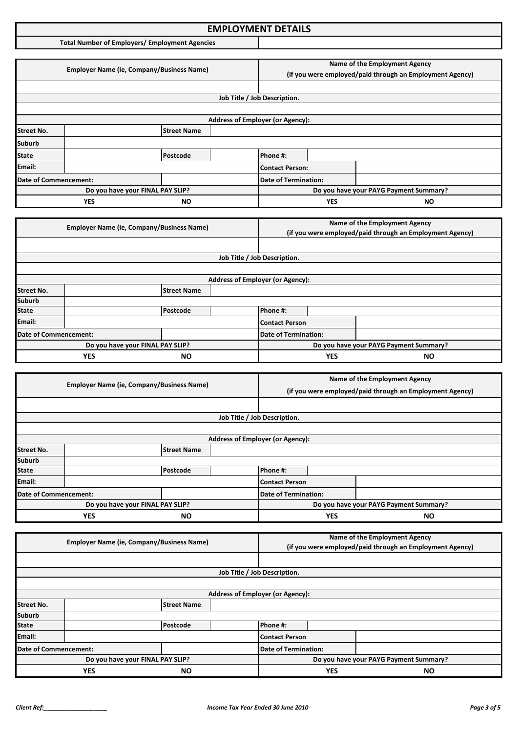### **Income Tax Application Format: EMPLOYMENT DETAILS**

**Total Number of Employers/ Employment Agencies**

|                       | <b>Employer Name (ie, Company/Business Name)</b> |                                                                                                                  |            | Name of the Employment Agency<br>(if you were employed/paid through an Employment Agency) |  |                                        |  |
|-----------------------|--------------------------------------------------|------------------------------------------------------------------------------------------------------------------|------------|-------------------------------------------------------------------------------------------|--|----------------------------------------|--|
|                       |                                                  |                                                                                                                  |            |                                                                                           |  |                                        |  |
|                       |                                                  |                                                                                                                  |            | Job Title / Job Description.                                                              |  |                                        |  |
|                       |                                                  |                                                                                                                  |            |                                                                                           |  |                                        |  |
|                       |                                                  |                                                                                                                  |            | <b>Address of Employer (or Agency):</b>                                                   |  |                                        |  |
| <b>Street No.</b>     |                                                  | <b>Street Name</b>                                                                                               |            |                                                                                           |  |                                        |  |
| <b>Suburb</b>         |                                                  |                                                                                                                  |            |                                                                                           |  |                                        |  |
| <b>State</b>          |                                                  | Postcode                                                                                                         |            | Phone #:                                                                                  |  |                                        |  |
| Email:                |                                                  |                                                                                                                  |            | <b>Contact Person:</b>                                                                    |  |                                        |  |
| Date of Commencement: |                                                  |                                                                                                                  |            | <b>Date of Termination:</b>                                                               |  |                                        |  |
|                       |                                                  | Do you have your FINAL PAY SLIP?                                                                                 |            |                                                                                           |  | Do you have your PAYG Payment Summary? |  |
| <b>YES</b><br>ΝO      |                                                  |                                                                                                                  | <b>YES</b> | ΝO                                                                                        |  |                                        |  |
|                       |                                                  |                                                                                                                  |            |                                                                                           |  |                                        |  |
|                       |                                                  | $F_{\text{model}}$ . The Mean of $F_{\text{model}}$ is the contract of $F_{\text{model}}$ and $F_{\text{model}}$ |            |                                                                                           |  | Name of the Employment Agency          |  |

|                         | <b>Employer Name (ie, Company/Business Name)</b> |                         |  | $\frac{1}{2}$<br>(if you were employed/paid through an Employment Agency) |  |                                        |  |
|-------------------------|--------------------------------------------------|-------------------------|--|---------------------------------------------------------------------------|--|----------------------------------------|--|
|                         |                                                  |                         |  |                                                                           |  |                                        |  |
|                         |                                                  |                         |  | Job Title / Job Description.                                              |  |                                        |  |
|                         |                                                  |                         |  |                                                                           |  |                                        |  |
|                         |                                                  |                         |  | <b>Address of Employer (or Agency):</b>                                   |  |                                        |  |
| <b>Street No.</b>       |                                                  | <b>Street Name</b>      |  |                                                                           |  |                                        |  |
| <b>Suburb</b>           |                                                  |                         |  |                                                                           |  |                                        |  |
| <b>State</b>            |                                                  | Postcode                |  | Phone #:                                                                  |  |                                        |  |
| Email:                  |                                                  |                         |  | Contact Person                                                            |  |                                        |  |
| Date of Commencement:   |                                                  |                         |  | <b>Date of Termination:</b>                                               |  |                                        |  |
|                         | Do you have your FINAL PAY SLIP?                 |                         |  |                                                                           |  | Do you have your PAYG Payment Summary? |  |
| <b>YES</b><br><b>NO</b> |                                                  | <b>YES</b><br><b>NO</b> |  |                                                                           |  |                                        |  |

|                                  | <b>Employer Name (ie, Company/Business Name)</b> |                    |                                        | Name of the Employment Agency                            |  |  |  |
|----------------------------------|--------------------------------------------------|--------------------|----------------------------------------|----------------------------------------------------------|--|--|--|
|                                  |                                                  |                    |                                        | (if you were employed/paid through an Employment Agency) |  |  |  |
|                                  |                                                  |                    |                                        |                                                          |  |  |  |
|                                  |                                                  |                    |                                        | Job Title / Job Description.                             |  |  |  |
|                                  |                                                  |                    |                                        |                                                          |  |  |  |
|                                  |                                                  |                    |                                        | <b>Address of Employer (or Agency):</b>                  |  |  |  |
| <b>Street No.</b>                |                                                  | <b>Street Name</b> |                                        |                                                          |  |  |  |
| <b>Suburb</b>                    |                                                  |                    |                                        |                                                          |  |  |  |
| <b>State</b>                     |                                                  | Postcode           |                                        | Phone #:                                                 |  |  |  |
| Email:                           |                                                  |                    |                                        | <b>Contact Person</b>                                    |  |  |  |
| Date of Commencement:            |                                                  |                    | <b>Date of Termination:</b>            |                                                          |  |  |  |
| Do you have your FINAL PAY SLIP? |                                                  |                    | Do you have your PAYG Payment Summary? |                                                          |  |  |  |
| YES<br><b>NO</b>                 |                                                  |                    | <b>YES</b><br><b>NO</b>                |                                                          |  |  |  |

|                                  | <b>Employer Name (ie, Company/Business Name)</b> |                                        |                              | Name of the Employment Agency                            |  |  |  |
|----------------------------------|--------------------------------------------------|----------------------------------------|------------------------------|----------------------------------------------------------|--|--|--|
|                                  |                                                  |                                        |                              | (if you were employed/paid through an Employment Agency) |  |  |  |
|                                  |                                                  |                                        |                              |                                                          |  |  |  |
|                                  |                                                  |                                        | Job Title / Job Description. |                                                          |  |  |  |
|                                  |                                                  |                                        |                              |                                                          |  |  |  |
|                                  |                                                  |                                        |                              | <b>Address of Employer (or Agency):</b>                  |  |  |  |
| <b>Street No.</b>                |                                                  | <b>Street Name</b>                     |                              |                                                          |  |  |  |
| <b>Suburb</b>                    |                                                  |                                        |                              |                                                          |  |  |  |
| <b>State</b>                     |                                                  | Postcode                               |                              | Phone #:                                                 |  |  |  |
| Email:                           |                                                  |                                        |                              | Contact Person                                           |  |  |  |
| Date of Commencement:            |                                                  |                                        |                              | Date of Termination:                                     |  |  |  |
| Do you have your FINAL PAY SLIP? |                                                  | Do you have your PAYG Payment Summary? |                              |                                                          |  |  |  |
| <b>YES</b><br><b>NO</b>          |                                                  | <b>YES</b><br><b>NO</b>                |                              |                                                          |  |  |  |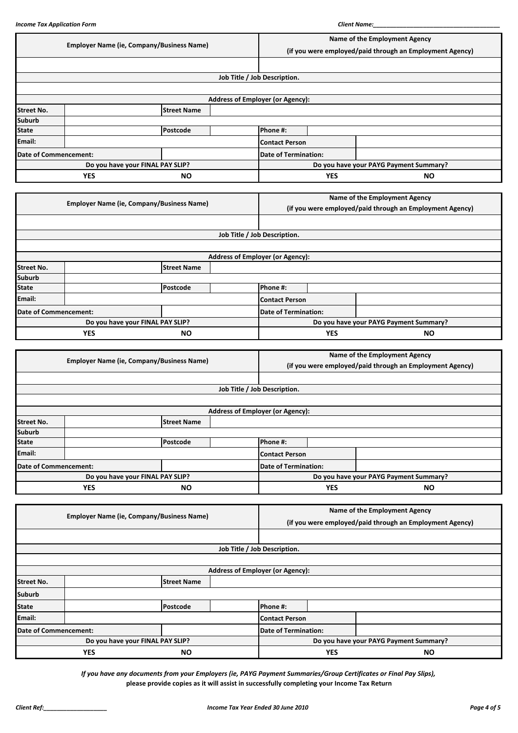|                                  | <b>Employer Name (ie, Company/Business Name)</b> |                                                  |  |                                                          | Name of the Employment Agency          |                               |  |  |
|----------------------------------|--------------------------------------------------|--------------------------------------------------|--|----------------------------------------------------------|----------------------------------------|-------------------------------|--|--|
|                                  |                                                  |                                                  |  | (if you were employed/paid through an Employment Agency) |                                        |                               |  |  |
|                                  |                                                  |                                                  |  |                                                          |                                        |                               |  |  |
|                                  |                                                  |                                                  |  | Job Title / Job Description.                             |                                        |                               |  |  |
|                                  |                                                  |                                                  |  |                                                          |                                        |                               |  |  |
|                                  |                                                  |                                                  |  | <b>Address of Employer (or Agency):</b>                  |                                        |                               |  |  |
| <b>Street No.</b>                |                                                  | <b>Street Name</b>                               |  |                                                          |                                        |                               |  |  |
| <b>Suburb</b>                    |                                                  |                                                  |  |                                                          |                                        |                               |  |  |
| <b>State</b>                     |                                                  | Postcode                                         |  | Phone #:                                                 |                                        |                               |  |  |
| Email:                           |                                                  |                                                  |  | <b>Contact Person</b>                                    |                                        |                               |  |  |
| <b>Date of Commencement:</b>     |                                                  |                                                  |  | <b>Date of Termination:</b>                              |                                        |                               |  |  |
|                                  |                                                  | Do you have your FINAL PAY SLIP?                 |  |                                                          | Do you have your PAYG Payment Summary? |                               |  |  |
|                                  | <b>YES</b>                                       | <b>NO</b>                                        |  |                                                          | <b>YES</b>                             | <b>NO</b>                     |  |  |
|                                  |                                                  |                                                  |  |                                                          |                                        |                               |  |  |
|                                  |                                                  | <b>Employer Name (ie, Company/Business Name)</b> |  |                                                          |                                        | Name of the Employment Agency |  |  |
|                                  |                                                  |                                                  |  | (if you were employed/paid through an Employment Agency) |                                        |                               |  |  |
|                                  |                                                  |                                                  |  |                                                          |                                        |                               |  |  |
|                                  |                                                  |                                                  |  | Job Title / Job Description.                             |                                        |                               |  |  |
|                                  |                                                  |                                                  |  |                                                          |                                        |                               |  |  |
|                                  |                                                  |                                                  |  | <b>Address of Employer (or Agency):</b>                  |                                        |                               |  |  |
| <b>Street No.</b>                |                                                  | <b>Street Name</b>                               |  |                                                          |                                        |                               |  |  |
| <b>Suburb</b>                    |                                                  |                                                  |  |                                                          |                                        |                               |  |  |
| <b>State</b>                     |                                                  | Postcode                                         |  | Phone #:                                                 |                                        |                               |  |  |
| Email:                           |                                                  |                                                  |  | <b>Contact Person</b>                                    |                                        |                               |  |  |
| Date of Commencement:            |                                                  |                                                  |  | <b>Date of Termination:</b>                              |                                        |                               |  |  |
| Do you have your FINAL PAY SLIP? |                                                  |                                                  |  | Do you have your PAYG Payment Summary?                   |                                        |                               |  |  |
|                                  | <b>YES</b><br><b>NO</b>                          |                                                  |  |                                                          |                                        |                               |  |  |

|                   | <b>Employer Name (ie, Company/Business Name)</b> |                    |                                         | Name of the Employment Agency                            |  |  |  |
|-------------------|--------------------------------------------------|--------------------|-----------------------------------------|----------------------------------------------------------|--|--|--|
|                   |                                                  |                    |                                         | (if you were employed/paid through an Employment Agency) |  |  |  |
|                   |                                                  |                    |                                         |                                                          |  |  |  |
|                   |                                                  |                    |                                         | Job Title / Job Description.                             |  |  |  |
|                   |                                                  |                    |                                         |                                                          |  |  |  |
|                   |                                                  |                    | <b>Address of Employer (or Agency):</b> |                                                          |  |  |  |
| <b>Street No.</b> |                                                  | <b>Street Name</b> |                                         |                                                          |  |  |  |
| <b>Suburb</b>     |                                                  |                    |                                         |                                                          |  |  |  |
| <b>State</b>      |                                                  | Postcode           |                                         | Phone #:                                                 |  |  |  |
| Email:            |                                                  |                    |                                         | <b>Contact Person</b>                                    |  |  |  |
|                   | Date of Commencement:                            |                    |                                         | <b>Date of Termination:</b>                              |  |  |  |
|                   | Do you have your FINAL PAY SLIP?                 |                    | Do you have your PAYG Payment Summary?  |                                                          |  |  |  |
|                   | <b>YES</b><br><b>NO</b>                          |                    | <b>YES</b><br><b>NO</b>                 |                                                          |  |  |  |

|                         | <b>Employer Name (ie, Company/Business Name)</b> |                    |                                         | Name of the Employment Agency                            |  |  |  |
|-------------------------|--------------------------------------------------|--------------------|-----------------------------------------|----------------------------------------------------------|--|--|--|
|                         |                                                  |                    |                                         | (if you were employed/paid through an Employment Agency) |  |  |  |
|                         |                                                  |                    |                                         |                                                          |  |  |  |
|                         |                                                  |                    |                                         | Job Title / Job Description.                             |  |  |  |
|                         |                                                  |                    |                                         |                                                          |  |  |  |
|                         |                                                  |                    | <b>Address of Employer (or Agency):</b> |                                                          |  |  |  |
| <b>Street No.</b>       |                                                  | <b>Street Name</b> |                                         |                                                          |  |  |  |
| <b>Suburb</b>           |                                                  |                    |                                         |                                                          |  |  |  |
| <b>State</b>            |                                                  | Postcode           |                                         | Phone #:                                                 |  |  |  |
| Email:                  |                                                  |                    |                                         | <b>Contact Person</b>                                    |  |  |  |
|                         | Date of Commencement:                            |                    | <b>Date of Termination:</b>             |                                                          |  |  |  |
|                         | Do you have your FINAL PAY SLIP?                 |                    |                                         | Do you have your PAYG Payment Summary?                   |  |  |  |
| <b>YES</b><br><b>NO</b> |                                                  |                    | <b>YES</b><br><b>NO</b>                 |                                                          |  |  |  |

*If you have any documents from your Employers (ie, PAYG Payment Summaries/Group Certificates or Final Pay Slips),* **please provide copies as it will assist in successfully completing your Income Tax Return**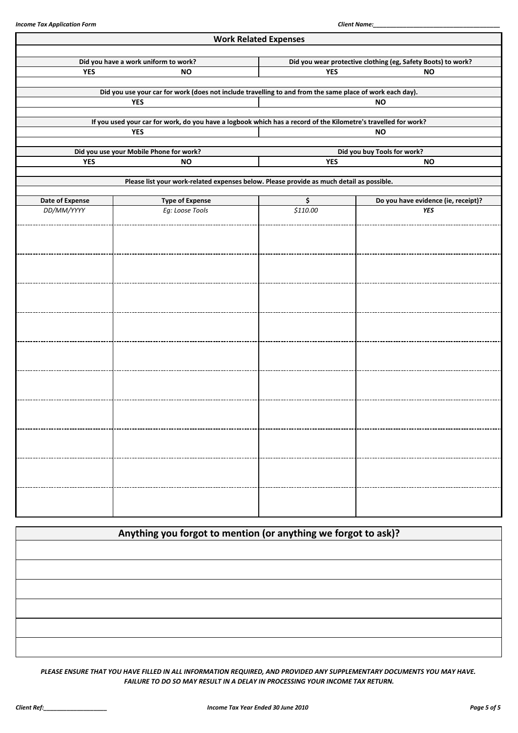|                 |                                                                                                                | <b>Work Related Expenses</b> |                                                              |  |  |  |  |
|-----------------|----------------------------------------------------------------------------------------------------------------|------------------------------|--------------------------------------------------------------|--|--|--|--|
|                 | Did you have a work uniform to work?                                                                           |                              | Did you wear protective clothing (eg, Safety Boots) to work? |  |  |  |  |
| <b>YES</b>      | <b>NO</b>                                                                                                      | <b>YES</b><br><b>NO</b>      |                                                              |  |  |  |  |
|                 | Did you use your car for work (does not include travelling to and from the same place of work each day).       |                              |                                                              |  |  |  |  |
|                 | <b>YES</b>                                                                                                     |                              | <b>NO</b>                                                    |  |  |  |  |
|                 | If you used your car for work, do you have a logbook which has a record of the Kilometre's travelled for work? |                              |                                                              |  |  |  |  |
|                 | <b>YES</b>                                                                                                     |                              | <b>NO</b>                                                    |  |  |  |  |
|                 | Did you use your Mobile Phone for work?                                                                        |                              | Did you buy Tools for work?                                  |  |  |  |  |
| <b>YES</b>      | <b>NO</b>                                                                                                      | <b>YES</b>                   | <b>NO</b>                                                    |  |  |  |  |
|                 | Please list your work-related expenses below. Please provide as much detail as possible.                       |                              |                                                              |  |  |  |  |
| Date of Expense | <b>Type of Expense</b>                                                                                         | \$                           | Do you have evidence (ie, receipt)?                          |  |  |  |  |
| DD/MM/YYYY      | Eg: Loose Tools                                                                                                | \$110.00                     | <b>YES</b>                                                   |  |  |  |  |
|                 |                                                                                                                |                              |                                                              |  |  |  |  |
|                 |                                                                                                                |                              |                                                              |  |  |  |  |
|                 |                                                                                                                |                              |                                                              |  |  |  |  |
|                 |                                                                                                                |                              |                                                              |  |  |  |  |
|                 |                                                                                                                |                              |                                                              |  |  |  |  |
|                 |                                                                                                                |                              |                                                              |  |  |  |  |
|                 |                                                                                                                |                              |                                                              |  |  |  |  |
|                 |                                                                                                                |                              |                                                              |  |  |  |  |
|                 |                                                                                                                |                              |                                                              |  |  |  |  |
|                 |                                                                                                                |                              |                                                              |  |  |  |  |
|                 |                                                                                                                |                              |                                                              |  |  |  |  |
|                 |                                                                                                                |                              |                                                              |  |  |  |  |
|                 |                                                                                                                |                              |                                                              |  |  |  |  |
|                 |                                                                                                                |                              |                                                              |  |  |  |  |
|                 |                                                                                                                |                              |                                                              |  |  |  |  |
|                 |                                                                                                                |                              |                                                              |  |  |  |  |
|                 |                                                                                                                |                              |                                                              |  |  |  |  |
|                 |                                                                                                                |                              |                                                              |  |  |  |  |
|                 |                                                                                                                |                              |                                                              |  |  |  |  |
|                 |                                                                                                                |                              |                                                              |  |  |  |  |

| Anything you forgot to mention (or anything we forgot to ask)? |  |  |
|----------------------------------------------------------------|--|--|
|                                                                |  |  |
|                                                                |  |  |
|                                                                |  |  |
|                                                                |  |  |
|                                                                |  |  |
|                                                                |  |  |

*PLEASE ENSURE THAT YOU HAVE FILLED IN ALL INFORMATION REQUIRED, AND PROVIDED ANY SUPPLEMENTARY DOCUMENTS YOU MAY HAVE. FAILURE TO DO SO MAY RESULT IN A DELAY IN PROCESSING YOUR INCOME TAX RETURN.*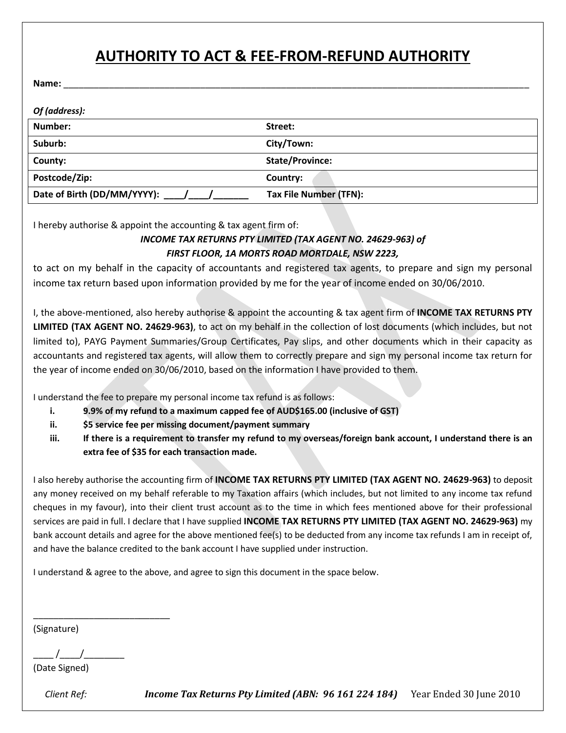# **AUTHORITY TO ACT & FEE-FROM-REFUND AUTHORITY**

**Name:** \_\_\_\_\_\_\_\_\_\_\_\_\_\_\_\_\_\_\_\_\_\_\_\_\_\_\_\_\_\_\_\_\_\_\_\_\_\_\_\_\_\_\_\_\_\_\_\_\_\_\_\_\_\_\_\_\_\_\_\_\_\_\_\_\_\_\_\_\_\_\_\_\_\_\_\_\_\_\_\_\_\_\_\_\_\_\_\_\_\_\_\_

| Of (address):               |                        |
|-----------------------------|------------------------|
| Number:                     | Street:                |
| Suburb:                     | City/Town:             |
| County:                     | <b>State/Province:</b> |
| Postcode/Zip:               | Country:               |
| Date of Birth (DD/MM/YYYY): | Tax File Number (TFN): |

I hereby authorise & appoint the accounting & tax agent firm of:

#### *INCOME TAX RETURNS PTY LIMITED (TAX AGENT NO. 24629-963) of FIRST FLOOR, 1A MORTS ROAD MORTDALE, NSW 2223,*

to act on my behalf in the capacity of accountants and registered tax agents, to prepare and sign my personal income tax return based upon information provided by me for the year of income ended on 30/06/2010.

I, the above-mentioned, also hereby authorise & appoint the accounting & tax agent firm of **INCOME TAX RETURNS PTY LIMITED (TAX AGENT NO. 24629-963)**, to act on my behalf in the collection of lost documents (which includes, but not limited to), PAYG Payment Summaries/Group Certificates, Pay slips, and other documents which in their capacity as accountants and registered tax agents, will allow them to correctly prepare and sign my personal income tax return for the year of income ended on 30/06/2010, based on the information I have provided to them.

I understand the fee to prepare my personal income tax refund is as follows:

- **i. 9.9% of my refund to a maximum capped fee of AUD\$165.00 (inclusive of GST)**
- **ii. \$5 service fee per missing document/payment summary**
- **iii. If there is a requirement to transfer my refund to my overseas/foreign bank account, I understand there is an extra fee of \$35 for each transaction made.**

I also hereby authorise the accounting firm of **INCOME TAX RETURNS PTY LIMITED (TAX AGENT NO. 24629-963)** to deposit any money received on my behalf referable to my Taxation affairs (which includes, but not limited to any income tax refund cheques in my favour), into their client trust account as to the time in which fees mentioned above for their professional services are paid in full. I declare that I have supplied **INCOME TAX RETURNS PTY LIMITED (TAX AGENT NO. 24629-963)** my bank account details and agree for the above mentioned fee(s) to be deducted from any income tax refunds I am in receipt of, and have the balance credited to the bank account I have supplied under instruction.

I understand & agree to the above, and agree to sign this document in the space below.

(Signature)

 $\frac{1}{2}$  /

\_\_\_\_\_\_\_\_\_\_\_\_\_\_\_\_\_\_\_\_\_\_\_\_\_\_\_

(Date Signed)